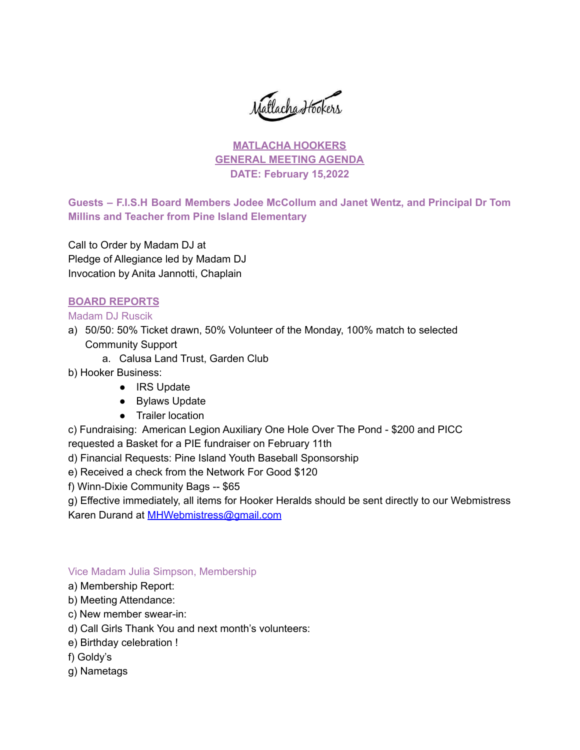Matlacha Hookers

# **MATLACHA HOOKERS GENERAL MEETING AGENDA DATE: February 15,2022**

**Guests – F.I.S.H Board Members Jodee McCollum and Janet Wentz, and Principal Dr Tom Millins and Teacher from Pine Island Elementary**

Call to Order by Madam DJ at Pledge of Allegiance led by Madam DJ Invocation by Anita Jannotti, Chaplain

## **BOARD REPORTS**

## Madam DJ Ruscik

- a) 50/50: 50% Ticket drawn, 50% Volunteer of the Monday, 100% match to selected Community Support
	- a. Calusa Land Trust, Garden Club
- b) Hooker Business:
	- IRS Update
	- Bylaws Update
	- Trailer location

c) Fundraising: American Legion Auxiliary One Hole Over The Pond - \$200 and PICC requested a Basket for a PIE fundraiser on February 11th

d) Financial Requests: Pine Island Youth Baseball Sponsorship

e) Received a check from the Network For Good \$120

f) Winn-Dixie Community Bags -- \$65

g) Effective immediately, all items for Hooker Heralds should be sent directly to our Webmistress Karen Durand at [MHWebmistress@gmail.com](mailto:MHWebmistress@gmail.com)

## Vice Madam Julia Simpson, Membership

- a) Membership Report:
- b) Meeting Attendance:
- c) New member swear-in:
- d) Call Girls Thank You and next month's volunteers:
- e) Birthday celebration !
- f) Goldy's
- g) Nametags